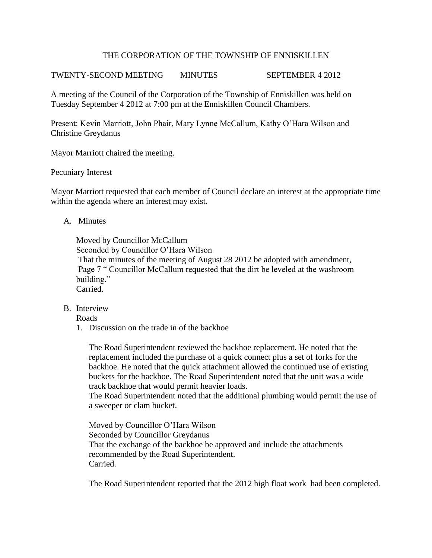## THE CORPORATION OF THE TOWNSHIP OF ENNISKILLEN

TWENTY-SECOND MEETING MINUTES SEPTEMBER 4 2012

A meeting of the Council of the Corporation of the Township of Enniskillen was held on Tuesday September 4 2012 at 7:00 pm at the Enniskillen Council Chambers.

Present: Kevin Marriott, John Phair, Mary Lynne McCallum, Kathy O'Hara Wilson and Christine Greydanus

Mayor Marriott chaired the meeting.

### Pecuniary Interest

Mayor Marriott requested that each member of Council declare an interest at the appropriate time within the agenda where an interest may exist.

## A. Minutes

Moved by Councillor McCallum Seconded by Councillor O'Hara Wilson That the minutes of the meeting of August 28 2012 be adopted with amendment, Page 7 " Councillor McCallum requested that the dirt be leveled at the washroom building." Carried.

B. Interview

Roads

1. Discussion on the trade in of the backhoe

The Road Superintendent reviewed the backhoe replacement. He noted that the replacement included the purchase of a quick connect plus a set of forks for the backhoe. He noted that the quick attachment allowed the continued use of existing buckets for the backhoe. The Road Superintendent noted that the unit was a wide track backhoe that would permit heavier loads.

The Road Superintendent noted that the additional plumbing would permit the use of a sweeper or clam bucket.

Moved by Councillor O'Hara Wilson Seconded by Councillor Greydanus That the exchange of the backhoe be approved and include the attachments recommended by the Road Superintendent. Carried.

The Road Superintendent reported that the 2012 high float work had been completed.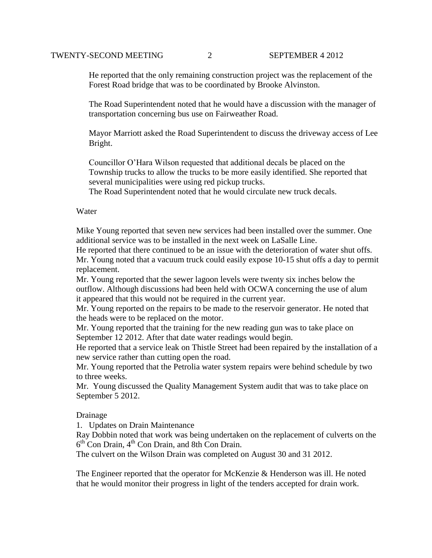He reported that the only remaining construction project was the replacement of the Forest Road bridge that was to be coordinated by Brooke Alvinston.

The Road Superintendent noted that he would have a discussion with the manager of transportation concerning bus use on Fairweather Road.

Mayor Marriott asked the Road Superintendent to discuss the driveway access of Lee Bright.

Councillor O'Hara Wilson requested that additional decals be placed on the Township trucks to allow the trucks to be more easily identified. She reported that several municipalities were using red pickup trucks.

The Road Superintendent noted that he would circulate new truck decals.

### Water

Mike Young reported that seven new services had been installed over the summer. One additional service was to be installed in the next week on LaSalle Line.

He reported that there continued to be an issue with the deterioration of water shut offs. Mr. Young noted that a vacuum truck could easily expose 10-15 shut offs a day to permit replacement.

Mr. Young reported that the sewer lagoon levels were twenty six inches below the outflow. Although discussions had been held with OCWA concerning the use of alum it appeared that this would not be required in the current year.

Mr. Young reported on the repairs to be made to the reservoir generator. He noted that the heads were to be replaced on the motor.

Mr. Young reported that the training for the new reading gun was to take place on September 12 2012. After that date water readings would begin.

He reported that a service leak on Thistle Street had been repaired by the installation of a new service rather than cutting open the road.

Mr. Young reported that the Petrolia water system repairs were behind schedule by two to three weeks.

Mr. Young discussed the Quality Management System audit that was to take place on September 5 2012.

#### Drainage

1. Updates on Drain Maintenance

Ray Dobbin noted that work was being undertaken on the replacement of culverts on the 6<sup>th</sup> Con Drain, 4<sup>th</sup> Con Drain, and 8th Con Drain.

The culvert on the Wilson Drain was completed on August 30 and 31 2012.

The Engineer reported that the operator for McKenzie & Henderson was ill. He noted that he would monitor their progress in light of the tenders accepted for drain work.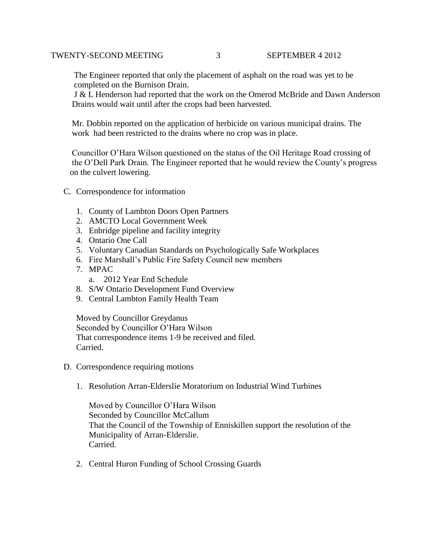The Engineer reported that only the placement of asphalt on the road was yet to be completed on the Burnison Drain.

 J & L Henderson had reported that the work on the Omerod McBride and Dawn Anderson Drains would wait until after the crops had been harvested.

 Mr. Dobbin reported on the application of herbicide on various municipal drains. The work had been restricted to the drains where no crop was in place.

 Councillor O'Hara Wilson questioned on the status of the Oil Heritage Road crossing of the O'Dell Park Drain. The Engineer reported that he would review the County's progress on the culvert lowering.

- C. Correspondence for information
	- 1. County of Lambton Doors Open Partners
	- 2. AMCTO Local Government Week
	- 3. Enbridge pipeline and facility integrity
	- 4. Ontario One Call
	- 5. Voluntary Canadian Standards on Psychologically Safe Workplaces
	- 6. Fire Marshall's Public Fire Safety Council new members
	- 7. MPAC
		- a. 2012 Year End Schedule
	- 8. S/W Ontario Development Fund Overview
	- 9. Central Lambton Family Health Team

Moved by Councillor Greydanus Seconded by Councillor O'Hara Wilson That correspondence items 1-9 be received and filed. Carried.

- D. Correspondence requiring motions
	- 1. Resolution Arran-Elderslie Moratorium on Industrial Wind Turbines

Moved by Councillor O'Hara Wilson Seconded by Councillor McCallum That the Council of the Township of Enniskillen support the resolution of the Municipality of Arran-Elderslie. Carried.

2. Central Huron Funding of School Crossing Guards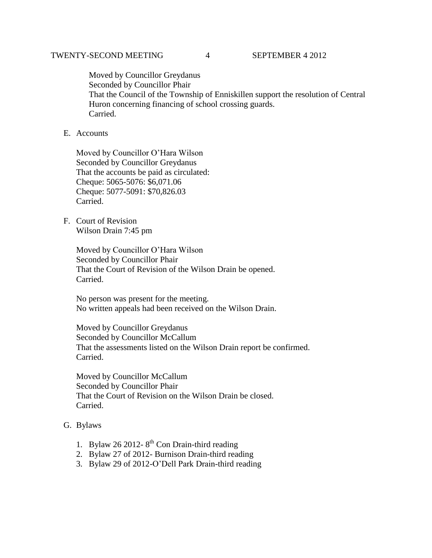Moved by Councillor Greydanus Seconded by Councillor Phair That the Council of the Township of Enniskillen support the resolution of Central Huron concerning financing of school crossing guards. Carried.

# E. Accounts

Moved by Councillor O'Hara Wilson Seconded by Councillor Greydanus That the accounts be paid as circulated: Cheque: 5065-5076: \$6,071.06 Cheque: 5077-5091: \$70,826.03 Carried.

F. Court of Revision Wilson Drain 7:45 pm

> Moved by Councillor O'Hara Wilson Seconded by Councillor Phair That the Court of Revision of the Wilson Drain be opened. Carried.

> No person was present for the meeting. No written appeals had been received on the Wilson Drain.

Moved by Councillor Greydanus Seconded by Councillor McCallum That the assessments listed on the Wilson Drain report be confirmed. Carried.

Moved by Councillor McCallum Seconded by Councillor Phair That the Court of Revision on the Wilson Drain be closed. Carried.

### G. Bylaws

- 1. Bylaw 26 2012-8<sup>th</sup> Con Drain-third reading
- 2. Bylaw 27 of 2012- Burnison Drain-third reading
- 3. Bylaw 29 of 2012-O'Dell Park Drain-third reading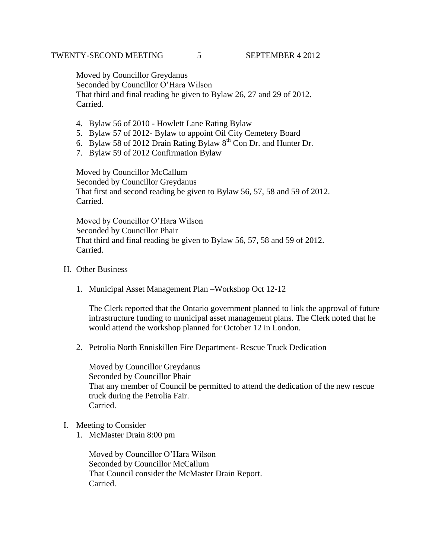Moved by Councillor Greydanus Seconded by Councillor O'Hara Wilson That third and final reading be given to Bylaw 26, 27 and 29 of 2012. Carried.

- 4. Bylaw 56 of 2010 Howlett Lane Rating Bylaw
- 5. Bylaw 57 of 2012- Bylaw to appoint Oil City Cemetery Board
- 6. Bylaw 58 of 2012 Drain Rating Bylaw  $8<sup>th</sup>$  Con Dr. and Hunter Dr.
- 7. Bylaw 59 of 2012 Confirmation Bylaw

Moved by Councillor McCallum Seconded by Councillor Greydanus That first and second reading be given to Bylaw 56, 57, 58 and 59 of 2012. Carried.

Moved by Councillor O'Hara Wilson Seconded by Councillor Phair That third and final reading be given to Bylaw 56, 57, 58 and 59 of 2012. Carried.

- H. Other Business
	- 1. Municipal Asset Management Plan –Workshop Oct 12-12

The Clerk reported that the Ontario government planned to link the approval of future infrastructure funding to municipal asset management plans. The Clerk noted that he would attend the workshop planned for October 12 in London.

2. Petrolia North Enniskillen Fire Department- Rescue Truck Dedication

Moved by Councillor Greydanus Seconded by Councillor Phair That any member of Council be permitted to attend the dedication of the new rescue truck during the Petrolia Fair. Carried.

- I. Meeting to Consider
	- 1. McMaster Drain 8:00 pm

Moved by Councillor O'Hara Wilson Seconded by Councillor McCallum That Council consider the McMaster Drain Report. Carried.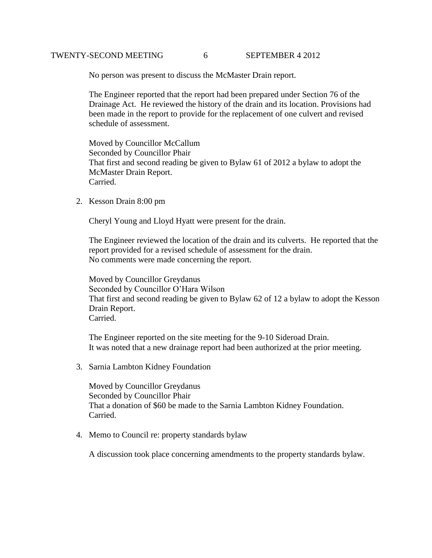### TWENTY-SECOND MEETING 6 SEPTEMBER 4 2012

No person was present to discuss the McMaster Drain report.

 The Engineer reported that the report had been prepared under Section 76 of the Drainage Act. He reviewed the history of the drain and its location. Provisions had been made in the report to provide for the replacement of one culvert and revised schedule of assessment.

 Moved by Councillor McCallum Seconded by Councillor Phair That first and second reading be given to Bylaw 61 of 2012 a bylaw to adopt the McMaster Drain Report. Carried.

2. Kesson Drain 8:00 pm

Cheryl Young and Lloyd Hyatt were present for the drain.

The Engineer reviewed the location of the drain and its culverts. He reported that the report provided for a revised schedule of assessment for the drain. No comments were made concerning the report.

Moved by Councillor Greydanus Seconded by Councillor O'Hara Wilson That first and second reading be given to Bylaw 62 of 12 a bylaw to adopt the Kesson Drain Report. Carried.

The Engineer reported on the site meeting for the 9-10 Sideroad Drain. It was noted that a new drainage report had been authorized at the prior meeting.

3. Sarnia Lambton Kidney Foundation

Moved by Councillor Greydanus Seconded by Councillor Phair That a donation of \$60 be made to the Sarnia Lambton Kidney Foundation. Carried.

4. Memo to Council re: property standards bylaw

A discussion took place concerning amendments to the property standards bylaw.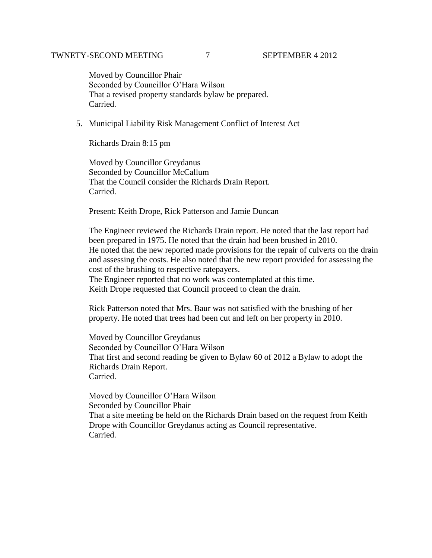Moved by Councillor Phair Seconded by Councillor O'Hara Wilson That a revised property standards bylaw be prepared. Carried.

5. Municipal Liability Risk Management Conflict of Interest Act

Richards Drain 8:15 pm

Moved by Councillor Greydanus Seconded by Councillor McCallum That the Council consider the Richards Drain Report. Carried.

Present: Keith Drope, Rick Patterson and Jamie Duncan

The Engineer reviewed the Richards Drain report. He noted that the last report had been prepared in 1975. He noted that the drain had been brushed in 2010. He noted that the new reported made provisions for the repair of culverts on the drain and assessing the costs. He also noted that the new report provided for assessing the cost of the brushing to respective ratepayers.

The Engineer reported that no work was contemplated at this time. Keith Drope requested that Council proceed to clean the drain.

Rick Patterson noted that Mrs. Baur was not satisfied with the brushing of her property. He noted that trees had been cut and left on her property in 2010.

Moved by Councillor Greydanus Seconded by Councillor O'Hara Wilson That first and second reading be given to Bylaw 60 of 2012 a Bylaw to adopt the Richards Drain Report. Carried.

Moved by Councillor O'Hara Wilson Seconded by Councillor Phair That a site meeting be held on the Richards Drain based on the request from Keith Drope with Councillor Greydanus acting as Council representative. Carried.